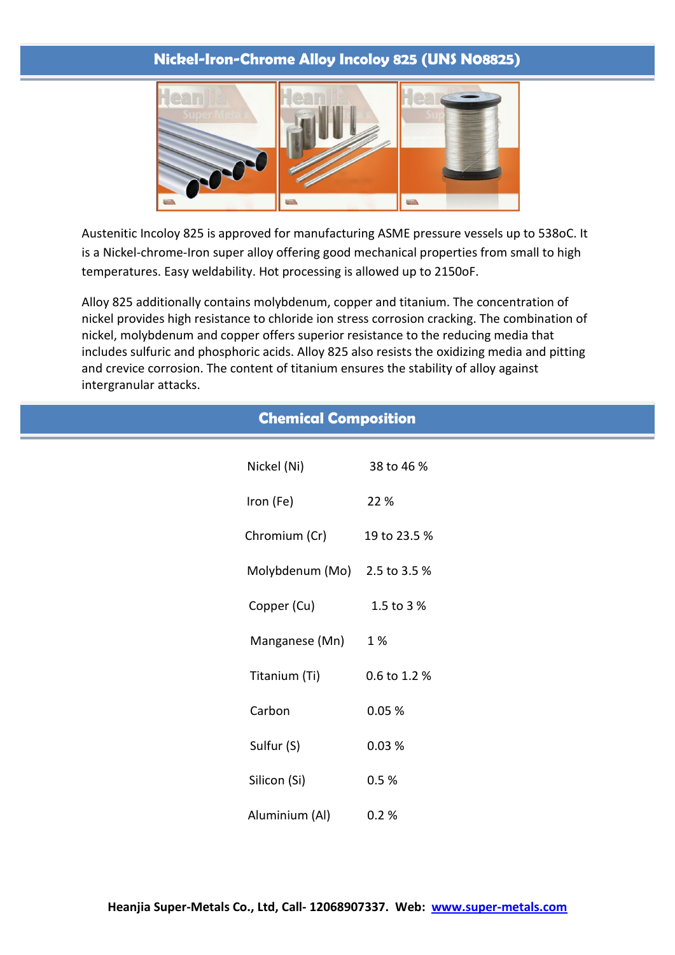## **Nickel-Iron-Chrome Alloy Incoloy 825 (UNS N08825)**



Austenitic Incoloy 825 is approved for manufacturing ASME pressure vessels up to 538oC. It is a Nickel-chrome-Iron super alloy offering good mechanical properties from small to high temperatures. Easy weldability. Hot processing is allowed up to 2150oF.

Alloy 825 additionally contains molybdenum, copper and titanium. The concentration of nickel provides high resistance to chloride ion stress corrosion cracking. The combination of nickel, molybdenum and copper offers superior resistance to the reducing media that includes sulfuric and phosphoric acids. Alloy 825 also resists the oxidizing media and pitting and crevice corrosion. The content of titanium ensures the stability of alloy against intergranular attacks.

| <b>Chemical Composition</b> |                 |              |  |  |
|-----------------------------|-----------------|--------------|--|--|
|                             | Nickel (Ni)     | 38 to 46 %   |  |  |
|                             | Iron (Fe)       | 22 %         |  |  |
|                             | Chromium (Cr)   | 19 to 23.5 % |  |  |
|                             | Molybdenum (Mo) | 2.5 to 3.5 % |  |  |
|                             | Copper (Cu)     | 1.5 to 3 %   |  |  |
|                             | Manganese (Mn)  | 1 %          |  |  |
|                             | Titanium (Ti)   | 0.6 to 1.2 % |  |  |
|                             | Carbon          | 0.05%        |  |  |
|                             | Sulfur (S)      | 0.03%        |  |  |
|                             | Silicon (Si)    | 0.5%         |  |  |
|                             | Aluminium (Al)  | 0.2%         |  |  |
|                             |                 |              |  |  |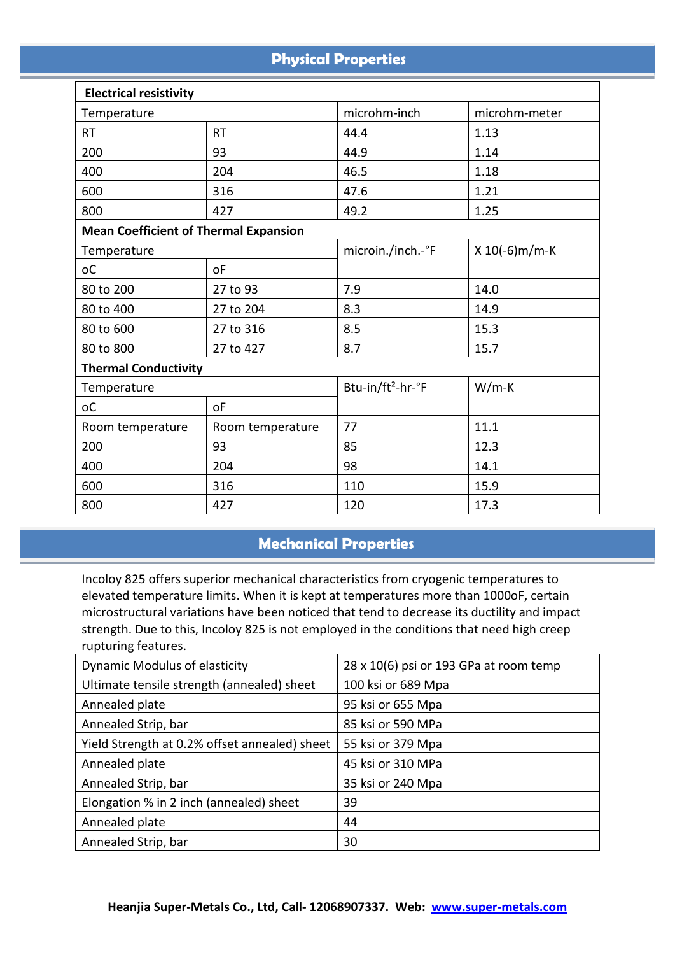# **Physical Properties**

| <b>Electrical resistivity</b>                |                  |                                          |                  |  |
|----------------------------------------------|------------------|------------------------------------------|------------------|--|
| Temperature                                  |                  | microhm-inch                             | microhm-meter    |  |
| <b>RT</b>                                    | <b>RT</b>        | 44.4                                     | 1.13             |  |
| 200                                          | 93               | 44.9                                     | 1.14             |  |
| 400                                          | 204              | 46.5                                     | 1.18             |  |
| 600                                          | 316              | 47.6                                     | 1.21             |  |
| 800                                          | 427              | 49.2                                     | 1.25             |  |
| <b>Mean Coefficient of Thermal Expansion</b> |                  |                                          |                  |  |
| Temperature                                  |                  | microin./inch.-°F                        | $X 10(-6) m/m-K$ |  |
| <sub>o</sub> C                               | <b>oF</b>        |                                          |                  |  |
| 80 to 200                                    | 27 to 93         | 7.9                                      | 14.0             |  |
| 80 to 400                                    | 27 to 204        | 8.3                                      | 14.9             |  |
| 80 to 600                                    | 27 to 316        | 8.5                                      | 15.3             |  |
| 80 to 800                                    | 27 to 427        | 8.7                                      | 15.7             |  |
| <b>Thermal Conductivity</b>                  |                  |                                          |                  |  |
| Temperature                                  |                  | Btu-in/ft <sup>2</sup> -hr-°F<br>$W/m-K$ |                  |  |
| <sub>o</sub> C                               | <b>oF</b>        |                                          |                  |  |
| Room temperature                             | Room temperature | 77                                       | 11.1             |  |
| 200                                          | 93               | 85                                       | 12.3             |  |
| 400                                          | 204              | 98                                       | 14.1             |  |
| 600                                          | 316              | 110                                      | 15.9             |  |
| 800                                          | 427              | 120                                      | 17.3             |  |

# **Mechanical Properties**

Incoloy 825 offers superior mechanical characteristics from cryogenic temperatures to elevated temperature limits. When it is kept at temperatures more than 1000oF, certain microstructural variations have been noticed that tend to decrease its ductility and impact strength. Due to this, Incoloy 825 is not employed in the conditions that need high creep rupturing features.

| Dynamic Modulus of elasticity                 | 28 x 10(6) psi or 193 GPa at room temp |
|-----------------------------------------------|----------------------------------------|
| Ultimate tensile strength (annealed) sheet    | 100 ksi or 689 Mpa                     |
| Annealed plate                                | 95 ksi or 655 Mpa                      |
| Annealed Strip, bar                           | 85 ksi or 590 MPa                      |
| Yield Strength at 0.2% offset annealed) sheet | 55 ksi or 379 Mpa                      |
| Annealed plate                                | 45 ksi or 310 MPa                      |
| Annealed Strip, bar                           | 35 ksi or 240 Mpa                      |
| Elongation % in 2 inch (annealed) sheet       | 39                                     |
| Annealed plate                                | 44                                     |
| Annealed Strip, bar                           | 30                                     |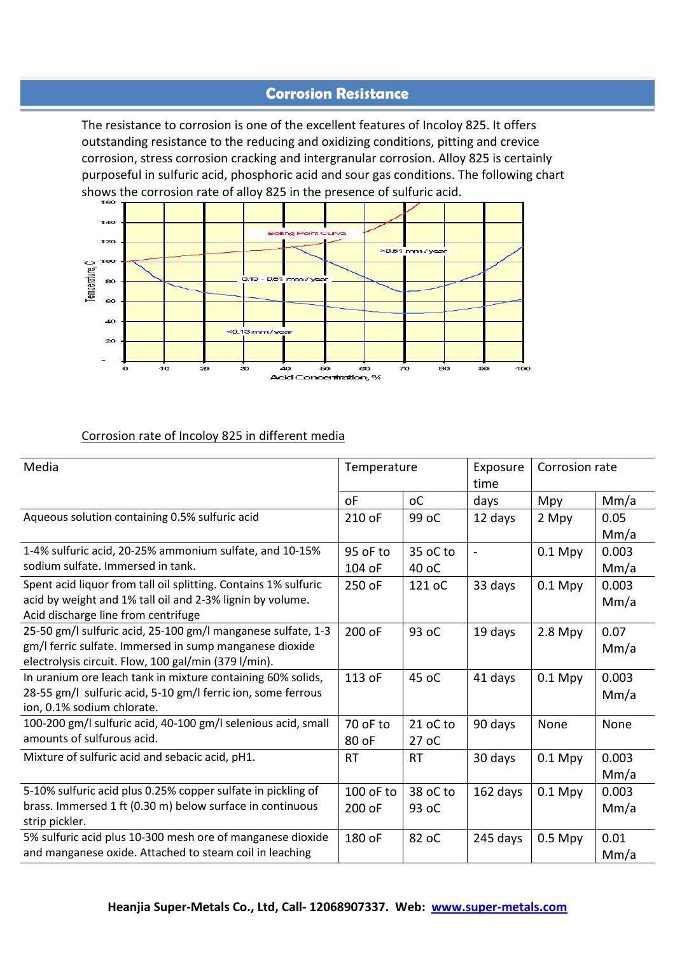### **Corrosion Resistance**

The resistance to corrosion is one of the excellent features of Incoloy 825. It offers outstanding resistance to the reducing and oxidizing conditions, pitting and crevice corrosion, stress corrosion cracking and intergranular corrosion. Alloy 825 is certainly purposeful in sulfuric acid, phosphoric acid and sour gas conditions. The following chart shows the corrosion rate of alloy 825 in the presence of sulfuric acid.



#### Corrosion rate of Incoloy 825 in different media

| Media                                                                       | Temperature |                | Exposure<br>time | Corrosion rate |       |
|-----------------------------------------------------------------------------|-------------|----------------|------------------|----------------|-------|
|                                                                             | οF          | <sub>o</sub> C | days             | Mpy            | Mm/a  |
| Aqueous solution containing 0.5% sulfuric acid                              | 210 oF      | 99 oC          | 12 days          | 2 Mpy          | 0.05  |
|                                                                             |             |                |                  |                | Mm/a  |
| 1-4% sulfuric acid, 20-25% ammonium sulfate, and 10-15%                     | 95 oF to    | 35 oC to       |                  | $0.1$ Mpy      | 0.003 |
| sodium sulfate. Immersed in tank.                                           | 104 oF      | 40 oC          |                  |                | Mm/a  |
| Spent acid liquor from tall oil splitting. Contains 1% sulfuric             | 250 oF      | 121 oC         | 33 days          | $0.1$ Mpy      | 0.003 |
| acid by weight and 1% tall oil and 2-3% lignin by volume.                   |             |                |                  |                | Mm/a  |
| Acid discharge line from centrifuge                                         |             |                |                  |                |       |
| 25-50 gm/l sulfuric acid, 25-100 gm/l manganese sulfate, 1-3                | 200 oF      | 93 oC          | 19 days          | $2.8$ Mpy      | 0.07  |
| gm/I ferric sulfate. Immersed in sump manganese dioxide                     |             |                |                  |                | Mm/a  |
| electrolysis circuit. Flow, 100 gal/min (379 l/min).                        |             |                |                  |                |       |
| In uranium ore leach tank in mixture containing 60% solids,                 | 113 oF      | 45 oC          | 41 days          | $0.1$ Mpy      | 0.003 |
| 28-55 gm/l sulfuric acid, 5-10 gm/l ferric ion, some ferrous                |             |                |                  |                | Mm/a  |
| ion, 0.1% sodium chlorate.                                                  |             |                |                  |                |       |
| 100-200 gm/l sulfuric acid, 40-100 gm/l selenious acid, small               | 70 oF to    | 21 oC to       | 90 days          | None           | None  |
| amounts of sulfurous acid.                                                  | 80 oF       | 27 oC          |                  |                |       |
| Mixture of sulfuric acid and sebacic acid, pH1.                             | <b>RT</b>   | <b>RT</b>      | 30 days          | $0.1$ Mpy      | 0.003 |
|                                                                             |             |                |                  |                | Mm/a  |
| 5-10% sulfuric acid plus 0.25% copper sulfate in pickling of                | 100 oF to   | 38 oC to       | 162 days         | $0.1$ Mpy      | 0.003 |
| brass. Immersed 1 ft (0.30 m) below surface in continuous<br>strip pickler. | 200 oF      | 93 oC          |                  |                | Mm/a  |
| 5% sulfuric acid plus 10-300 mesh ore of manganese dioxide                  | 180 oF      | 82 oC          | 245 days         | $0.5$ Mpy      | 0.01  |
| and manganese oxide. Attached to steam coil in leaching                     |             |                |                  |                |       |
|                                                                             |             |                |                  |                | Mm/a  |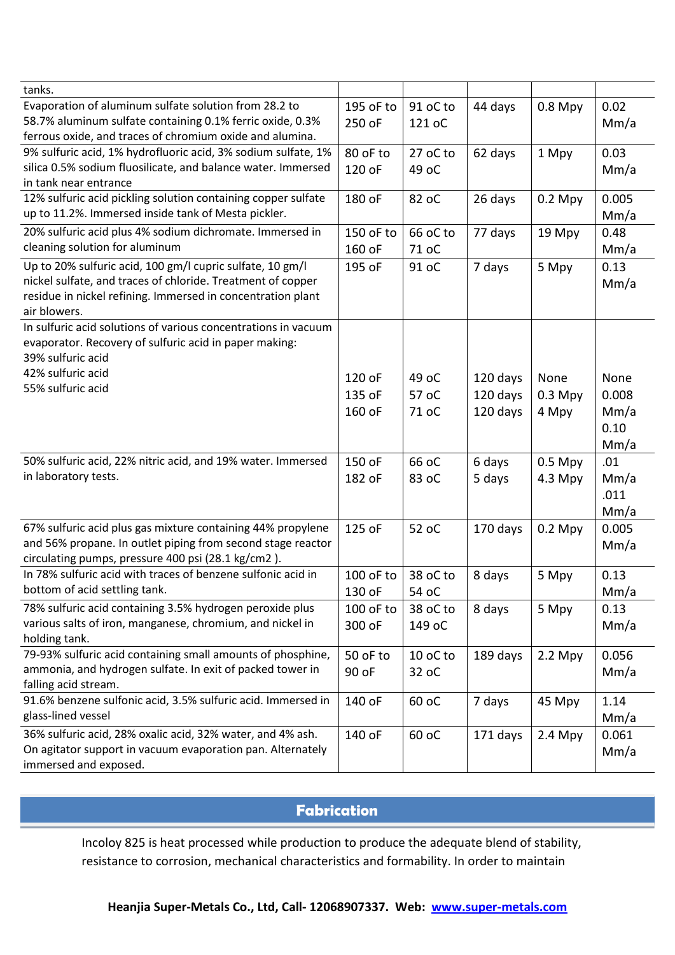| tanks.                                                         |           |          |          |           |       |
|----------------------------------------------------------------|-----------|----------|----------|-----------|-------|
| Evaporation of aluminum sulfate solution from 28.2 to          | 195 oF to | 91 oC to | 44 days  | $0.8$ Mpy | 0.02  |
| 58.7% aluminum sulfate containing 0.1% ferric oxide, 0.3%      | 250 oF    | 121 oC   |          |           | Mm/a  |
| ferrous oxide, and traces of chromium oxide and alumina.       |           |          |          |           |       |
| 9% sulfuric acid, 1% hydrofluoric acid, 3% sodium sulfate, 1%  | 80 oF to  | 27 oC to | 62 days  | 1 Mpy     | 0.03  |
| silica 0.5% sodium fluosilicate, and balance water. Immersed   | 120 oF    | 49 oC    |          |           | Mm/a  |
| in tank near entrance                                          |           |          |          |           |       |
| 12% sulfuric acid pickling solution containing copper sulfate  | 180 oF    | 82 oC    | 26 days  | $0.2$ Mpy | 0.005 |
| up to 11.2%. Immersed inside tank of Mesta pickler.            |           |          |          |           | Mm/a  |
| 20% sulfuric acid plus 4% sodium dichromate. Immersed in       | 150 oF to | 66 oC to | 77 days  | 19 Mpy    | 0.48  |
| cleaning solution for aluminum                                 | 160 oF    | 71 oC    |          |           | Mm/a  |
| Up to 20% sulfuric acid, 100 gm/l cupric sulfate, 10 gm/l      | 195 oF    | 91 oC    | 7 days   | 5 Mpy     | 0.13  |
| nickel sulfate, and traces of chloride. Treatment of copper    |           |          |          |           | Mm/a  |
| residue in nickel refining. Immersed in concentration plant    |           |          |          |           |       |
| air blowers.                                                   |           |          |          |           |       |
| In sulfuric acid solutions of various concentrations in vacuum |           |          |          |           |       |
| evaporator. Recovery of sulfuric acid in paper making:         |           |          |          |           |       |
| 39% sulfuric acid                                              |           |          |          |           |       |
| 42% sulfuric acid                                              | 120 oF    | 49 oC    | 120 days | None      | None  |
| 55% sulfuric acid                                              | 135 oF    | 57 oC    | 120 days | $0.3$ Mpy | 0.008 |
|                                                                | 160 oF    | 71 oC    | 120 days | 4 Mpy     | Mm/a  |
|                                                                |           |          |          |           | 0.10  |
|                                                                |           |          |          |           | Mm/a  |
| 50% sulfuric acid, 22% nitric acid, and 19% water. Immersed    | 150 oF    | 66 oC    | 6 days   | $0.5$ Mpy | .01   |
| in laboratory tests.                                           | 182 oF    | 83 oC    | 5 days   | $4.3$ Mpy | Mm/a  |
|                                                                |           |          |          |           | .011  |
|                                                                |           |          |          |           | Mm/a  |
| 67% sulfuric acid plus gas mixture containing 44% propylene    | 125 oF    | 52 oC    | 170 days | $0.2$ Mpy | 0.005 |
| and 56% propane. In outlet piping from second stage reactor    |           |          |          |           | Mm/a  |
| circulating pumps, pressure 400 psi (28.1 kg/cm2).             |           |          |          |           |       |
| In 78% sulfuric acid with traces of benzene sulfonic acid in   | 100 oF to | 38 oC to | 8 days   | 5 Mpy     | 0.13  |
| bottom of acid settling tank.                                  | 130 oF    | 54 oC    |          |           | Mm/a  |
| 78% sulfuric acid containing 3.5% hydrogen peroxide plus       | 100 oF to | 38 oC to | 8 days   | 5 Mpy     | 0.13  |
| various salts of iron, manganese, chromium, and nickel in      | 300 oF    | 149 oC   |          |           | Mm/a  |
| holding tank.                                                  |           |          |          |           |       |
| 79-93% sulfuric acid containing small amounts of phosphine,    | 50 oF to  | 10 oC to | 189 days | $2.2$ Mpy | 0.056 |
| ammonia, and hydrogen sulfate. In exit of packed tower in      | 90 oF     | 32 oC    |          |           | Mm/a  |
| falling acid stream.                                           |           |          |          |           |       |
| 91.6% benzene sulfonic acid, 3.5% sulfuric acid. Immersed in   | 140 oF    | 60 oC    | 7 days   | 45 Mpy    | 1.14  |
| glass-lined vessel                                             |           |          |          |           | Mm/a  |
| 36% sulfuric acid, 28% oxalic acid, 32% water, and 4% ash.     | 140 oF    | 60 oC    | 171 days | $2.4$ Mpy | 0.061 |
| On agitator support in vacuum evaporation pan. Alternately     |           |          |          |           | Mm/a  |
| immersed and exposed.                                          |           |          |          |           |       |

# **Fabrication**

Incoloy 825 is heat processed while production to produce the adequate blend of stability, resistance to corrosion, mechanical characteristics and formability. In order to maintain